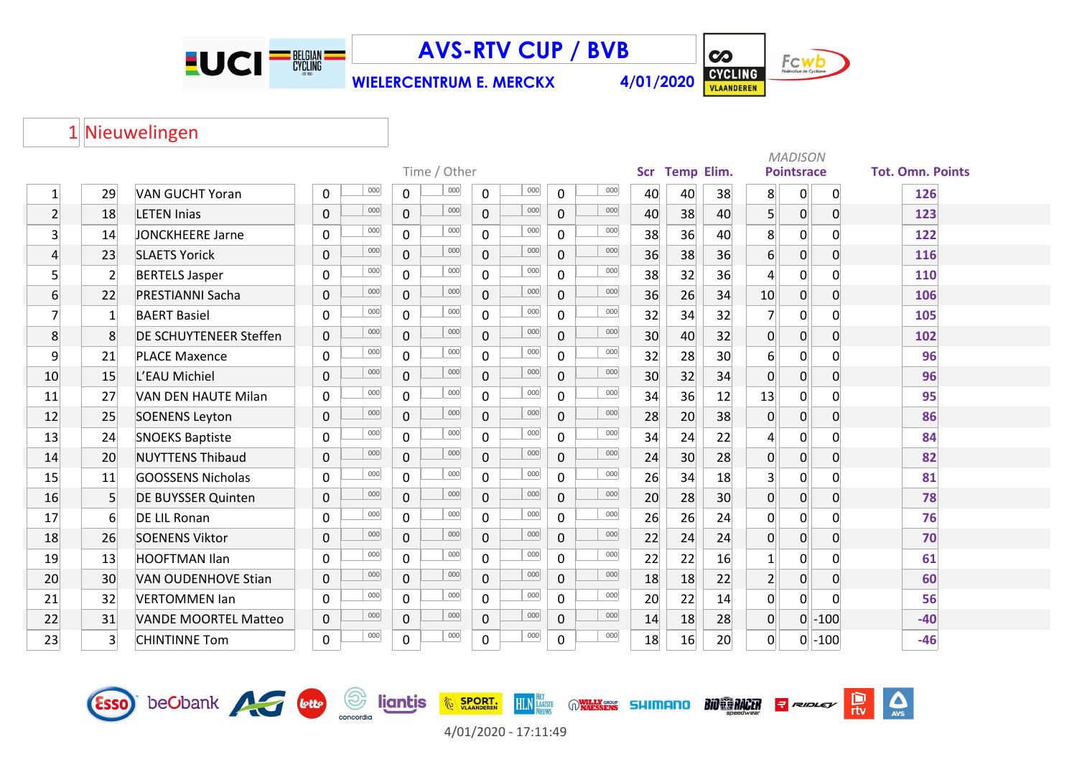

Esso beCbank AG bub

**AVS-RTV CUP / BVB**

**WIELERCENTRUM E. MERCKX 4/01/2020**



 $\Delta$ 

鳥

RIDLEY

**BIO CO RACER** 

## 1 Nieuwelingen

|                         |                  |                               |                     |                       |                |     |                |     |            |                   |    | <b>MADISON</b>   |                   |             |                         |
|-------------------------|------------------|-------------------------------|---------------------|-----------------------|----------------|-----|----------------|-----|------------|-------------------|----|------------------|-------------------|-------------|-------------------------|
|                         |                  |                               |                     | Time / Other          |                |     |                |     | <b>Scr</b> | <b>Temp Elim.</b> |    |                  | <b>Pointsrace</b> |             | <b>Tot. Omn. Points</b> |
| $\mathbf{1}$            | 29               | <b>VAN GUCHT Yoran</b>        | 000<br>0            | 000<br>0              | $\mathbf{0}$   | 000 | 0              | 000 | 40         | 40                | 38 | 8                | 0                 | $\mathbf 0$ | 126                     |
| $\overline{2}$          | 18               | <b>LETEN Injas</b>            | 000<br>0            | 000<br>$\overline{0}$ | $\overline{0}$ | 000 | $\mathbf 0$    | 000 | 40         | 38                | 40 | 5 <sup>1</sup>   | 0                 | 0           | 123                     |
| $\overline{\mathbf{3}}$ | 14               | JONCKHEERE Jarne              | 000<br>$\mathbf{0}$ | 000<br>$\mathbf{0}$   | $\Omega$       | 000 | 0              | 000 | 38         | 36                | 40 | 8                | 0                 | 0           | 122                     |
| $\overline{4}$          | 23               | <b>SLAETS Yorick</b>          | 000<br>$\mathbf 0$  | 000<br>$\mathbf{0}$   | $\Omega$       | 000 | $\overline{0}$ | 000 | 36         | 38                | 36 | $6 \overline{6}$ | $\overline{0}$    | 0           | 116                     |
| 5 <sup>1</sup>          | $\overline{2}$   | <b>BERTELS Jasper</b>         | 000<br>$\mathbf{0}$ | 000<br>$\mathbf 0$    | $\mathsf{O}$   | 000 | $\mathbf 0$    | 000 | 38         | 32                | 36 | $\overline{4}$   | $\overline{0}$    | 0           | 110                     |
| $6 \overline{6}$        | 22               | <b>PRESTIANNI Sacha</b>       | 000<br>$\mathbf 0$  | 000<br>$\overline{0}$ | $\mathbf{0}$   | 000 | $\overline{0}$ | 000 | 36         | 26                | 34 | 10               | 0                 | 0           | 106                     |
| $\overline{7}$          | $\mathbf{1}$     | <b>BAERT Basiel</b>           | 000<br>$\mathbf{0}$ | 000<br>0              | $\Omega$       | 000 | 0              | 000 | 32         | 34                | 32 | $\overline{7}$   | $\overline{0}$    | 0           | 105                     |
| 8                       | 8                | <b>DE SCHUYTENEER Steffen</b> | 000<br>$\mathbf 0$  | 000<br>$\overline{0}$ | $\mathbf{0}$   | 000 | 0              | 000 | 30         | 40                | 32 | 0                | $\overline{0}$    | 0           | 102                     |
| 9                       | 21               | <b>PLACE Maxence</b>          | 000<br>$\mathbf 0$  | 000<br>0              | $\mathbf 0$    | 000 | 0              | 000 | 32         | 28                | 30 | $6 \overline{6}$ | $\overline{0}$    | 0           | 96                      |
| 10                      | 15               | L'EAU Michiel                 | 000<br>$\mathbf 0$  | 000<br>$\overline{0}$ | $\mathbf{0}$   | 000 | $\overline{0}$ | 000 | 30         | 32                | 34 | 0                | $\overline{0}$    | 0           | 96                      |
| 11                      | 27               | VAN DEN HAUTE Milan           | 000<br>$\mathbf{0}$ | 000<br>$\mathbf{0}$   | $\Omega$       | 000 | 0              | 000 | 34         | 36                | 12 | 13               | 0                 | 0           | 95                      |
| 12                      | 25               | <b>SOENENS Leyton</b>         | 000<br>$\mathbf 0$  | 000<br>$\overline{0}$ | $\mathbf{0}$   | 000 | $\overline{0}$ | 000 | 28         | 20                | 38 | 0                | 0                 | 0           | 86                      |
| 13                      | 24               | <b>SNOEKS Baptiste</b>        | 000<br>$\mathbf{0}$ | 000<br>$\mathbf 0$    | $\Omega$       | 000 | 0              | 000 | 34         | 24                | 22 | $\overline{4}$   | $\mathbf 0$       | 0           | 84                      |
| 14                      | 20               | <b>NUYTTENS Thibaud</b>       | 000<br>$\mathbf{0}$ | 000<br>$\overline{0}$ | $\Omega$       | 000 | $\overline{0}$ | 000 | 24         | 30                | 28 | 0                | 0                 | 0           | 82                      |
| 15                      | 11               | <b>GOOSSENS Nicholas</b>      | 000<br>$\mathbf{0}$ | 000<br>$\mathbf 0$    | $\Omega$       | 000 | 0              | 000 | 26         | 34                | 18 | 3 <sup>1</sup>   | 0                 | 0           | 81                      |
| 16                      | 5                | <b>DE BUYSSER Quinten</b>     | 000<br>$\mathbf 0$  | 000<br>$\overline{0}$ | $\Omega$       | 000 | $\overline{0}$ | 000 | 20         | 28                | 30 | 0                | 0                 | 0           | 78                      |
| 17                      | $6 \overline{6}$ | <b>DE LIL Ronan</b>           | 000<br>$\mathbf{0}$ | 000<br>$\Omega$       | $\Omega$       | 000 | 0              | 000 | 26         | 26                | 24 | 0                | 0                 | 0           | 76                      |
| 18                      | 26               | <b>SOENENS Viktor</b>         | 000<br>$\mathbf{0}$ | 000<br>$\overline{0}$ | $\Omega$       | 000 | $\overline{0}$ | 000 | 22         | 24                | 24 | 0                | 0                 | 0           | 70                      |
| 19                      | 13               | <b>HOOFTMAN Ilan</b>          | 000<br>$\mathbf 0$  | 000<br>$\mathbf{0}$   | $\Omega$       | 000 | $\Omega$       | 000 | 22         | 22                | 16 | $\mathbf{1}$     | 0                 | $\Omega$    | 61                      |
| 20                      | 30               | <b>VAN OUDENHOVE Stian</b>    | 000<br>$\mathbf 0$  | 000<br>$\overline{0}$ | $\Omega$       | 000 | $\Omega$       | 000 | 18         | 18                | 22 | $\overline{2}$   | 0                 | 0           | 60                      |
| 21                      | 32               | <b>VERTOMMEN Ian</b>          | 000<br>$\mathbf 0$  | 000<br>$\mathbf 0$    | $\mathbf 0$    | 000 | $\mathbf 0$    | 000 | 20         | 22                | 14 | 0                | 0                 | 0           | 56                      |
| 22                      | 31               | <b>VANDE MOORTEL Matteo</b>   | 000<br>$\mathbf 0$  | 000<br>$\overline{0}$ | $\mathbf{0}$   | 000 | $\mathbf 0$    | 000 | 14         | 18                | 28 | $\overline{0}$   | $\overline{0}$    | $-100$      | $-40$                   |
| 23                      | $\overline{3}$   | <b>CHINTINNE Tom</b>          | 000<br>$\mathbf 0$  | 000<br>$\mathbf 0$    | 0              | 000 | 0              | 000 | 18         | 16                | 20 | $\Omega$         |                   | $0$ -100    | $-46$                   |



HLN HATSTE OWNERS SHIMANO

**EXAMPLE SPORT.** 

*<u>Sancordia</u>*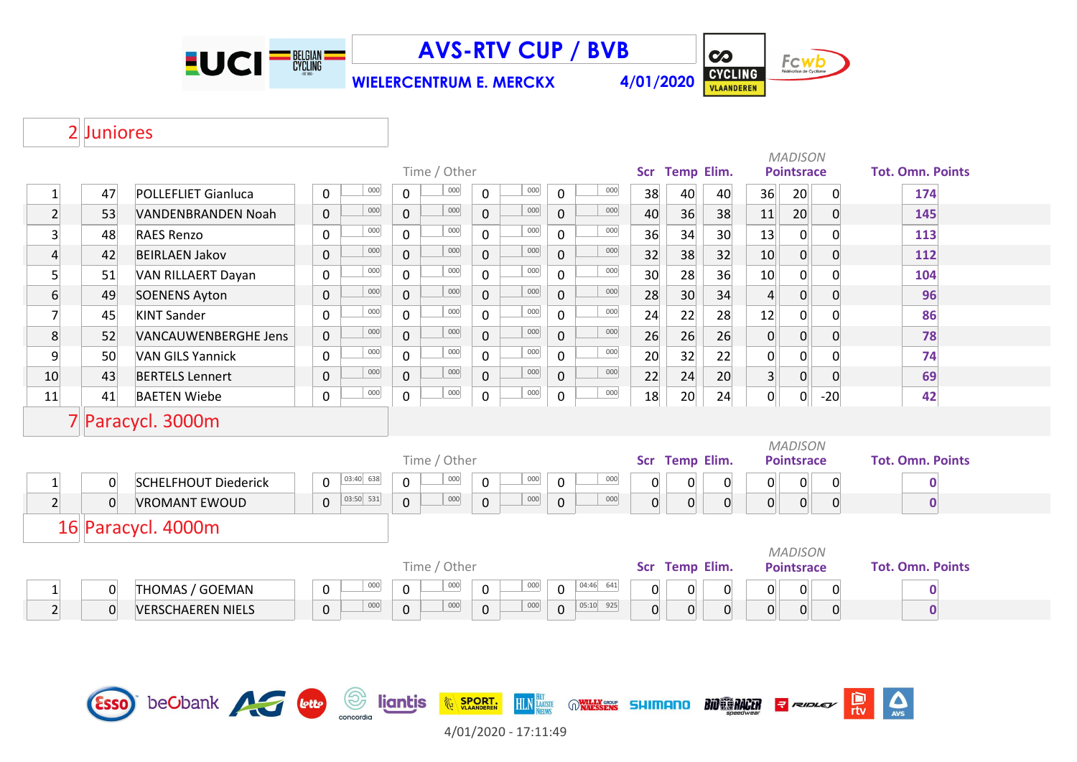

**AVS-RTV CUP / BVB**

**WIELERCENTRUM E. MERCKX 4/01/2020**



## 2 Juniores

|                         |                |                             | Time / Other |                |              |              |              |                    |             | Scr Temp Elim. |                | <b>MADISON</b><br><b>Pointsrace</b> |                |                 | <b>Tot. Omn. Points</b>             |                |                         |
|-------------------------|----------------|-----------------------------|--------------|----------------|--------------|--------------|--------------|--------------------|-------------|----------------|----------------|-------------------------------------|----------------|-----------------|-------------------------------------|----------------|-------------------------|
| $\mathbf{1}$            | 47             | <b>POLLEFLIET Gianluca</b>  | $\mathbf 0$  | 000            | $\mathbf 0$  | 000          | $\mathbf 0$  | 000                | $\mathbf 0$ | 000            | 38             | 40                                  | 40             | 36              | 20                                  | $\overline{0}$ | 174                     |
| $\overline{2}$          | 53             | VANDENBRANDEN Noah          | $\pmb{0}$    | 000            | $\pmb{0}$    | 000          | $\mathbf 0$  | 000                | $\pmb{0}$   | 000            | 40             | 36                                  | 38             | 11              | 20                                  | $\overline{0}$ | 145                     |
| $\overline{\mathbf{3}}$ | 48             | <b>RAES Renzo</b>           | 0            | 000            | $\mathbf 0$  | 000          | $\mathbf 0$  | 000                | 0           | $000\,$        | 36             | 34                                  | 30             | 13              | $\overline{0}$                      | 0              | 113                     |
| $\overline{a}$          | 42             | <b>BEIRLAEN Jakov</b>       | $\mathbf 0$  | 000            | $\mathbf 0$  | 000          | $\mathbf 0$  | 000                | $\mathbf 0$ | 000            | 32             | 38                                  | 32             | 10              | $\overline{0}$                      | $\overline{0}$ | 112                     |
| $\overline{5}$          | 51             | VAN RILLAERT Dayan          | $\pmb{0}$    | 000            | $\mathbf 0$  | 000          | 0            | 000                | $\mathbf 0$ | 000            | 30             | 28                                  | 36             | 10              | $\overline{0}$                      | $\overline{0}$ | 104                     |
| $\overline{6}$          | 49             | <b>SOENENS Ayton</b>        | $\mathsf 0$  | 000            | $\mathbf 0$  | 000          | 0            | 000                | $\mathbf 0$ | 000            | 28             | 30                                  | 34             | $\vert 4 \vert$ | $\overline{0}$                      | $\overline{0}$ | 96                      |
| $\overline{7}$          | 45             | <b>KINT Sander</b>          | $\mathbf 0$  | 000            | $\mathsf{O}$ | 000          | $\mathbf 0$  | 000                | $\mathbf 0$ | 000            | 24             | 22                                  | 28             | 12              | 0                                   | $\overline{0}$ | 86                      |
| 8                       | 52             | <b>VANCAUWENBERGHE Jens</b> | $\mathbf 0$  | 000            | $\mathbf 0$  | 000          | 0            | 000                | $\mathbf 0$ | 000            | 26             | 26                                  | 26             | $\overline{0}$  | $\overline{0}$                      | $\overline{0}$ | 78                      |
| $\overline{9}$          | 50             | <b>VAN GILS Yannick</b>     | $\mathbf 0$  | 000            | $\mathbf 0$  | 000          | $\mathsf{O}$ | 000                | $\mathbf 0$ | 000            | 20             | 32                                  | 22             | $\mathbf 0$     | $\overline{0}$                      | $\overline{0}$ | 74                      |
| 10                      | 43             | <b>BERTELS Lennert</b>      | $\mathbf 0$  | 000            | $\mathbf 0$  | 000          | $\mathbf 0$  | 000                | $\mathbf 0$ | 000            | 22             | 24                                  | 20             | 3 <sup>2</sup>  | $\overline{0}$                      | $\overline{0}$ | 69                      |
| 11                      | 41             | <b>BAETEN Wiebe</b>         | $\mathbf 0$  | 000            | $\mathbf 0$  | 000          | $\mathbf 0$  | 000                | 0           | 000            | 18             | 20                                  | 24             | $\overline{0}$  | $\overline{0}$                      | $-20$          | 42                      |
|                         |                | 7 Paracycl. 3000m           |              |                |              |              |              |                    |             |                |                |                                     |                |                 |                                     |                |                         |
|                         |                |                             |              |                |              | Time / Other |              |                    |             |                |                | Scr Temp Elim.                      |                |                 | <b>MADISON</b><br><b>Pointsrace</b> |                | <b>Tot. Omn. Points</b> |
| $\mathbf{1}$            | 0              | <b>SCHELFHOUT Diederick</b> | $\mathbf 0$  | $03:40$ 638    | $\mathsf{O}$ | 000          | $\mathbf 0$  | 000                | $\mathbf 0$ | 000            | 0              | $\mathbf 0$                         | $\overline{0}$ | 0               | $\overline{0}$                      | $\overline{0}$ | $\mathbf 0$             |
| $\overline{2}$          | $\overline{0}$ | <b>VROMANT EWOUD</b>        | $\mathbf 0$  | 03:50 531      | $\mathbf 0$  | 000          | $\mathbf 0$  | 000                | $\mathbf 0$ | 000            | $\overline{0}$ | $\overline{0}$                      | $\overline{0}$ | $\overline{0}$  | 0                                   | $\overline{0}$ | $\mathbf 0$             |
|                         |                |                             |              |                |              |              |              |                    |             |                |                |                                     |                |                 |                                     |                |                         |
|                         |                | 16 Paracycl. 4000m          |              |                |              |              |              |                    |             |                |                |                                     |                |                 |                                     |                |                         |
|                         |                |                             |              |                |              |              |              |                    |             |                |                |                                     |                |                 |                                     |                |                         |
|                         |                |                             |              |                |              |              |              |                    |             |                |                |                                     |                |                 | <b>MADISON</b>                      |                |                         |
|                         |                |                             |              |                |              | Time / Other |              |                    |             |                |                | Scr Temp Elim.                      |                |                 | <b>Pointsrace</b>                   |                | <b>Tot. Omn. Points</b> |
| $\mathbf{1}$            | $\mathbf{0}$   | THOMAS / GOEMAN             | 0            | 000            | $\mathsf{O}$ | 000          | $\mathsf{O}$ | 000                | $\mathbf 0$ | $04:46$ 641    | 0              | $\mathbf 0$                         | $\overline{0}$ | 0               | $\overline{0}$                      | $\overline{0}$ | $\mathbf 0$             |
| $\overline{2}$          | $\overline{0}$ | <b>VERSCHAEREN NIELS</b>    | $\mathbf 0$  | 000            | $\mathbf 0$  | 000          | $\mathbf 0$  | 000                | $\mathbf 0$ | $ 05:10 $ 925  | $\overline{0}$ | $\overline{0}$                      | $\overline{0}$ | $\overline{0}$  | 0                                   | $\overline{0}$ | $\mathbf 0$             |
|                         |                |                             |              |                |              |              |              |                    |             |                |                |                                     |                |                 |                                     |                |                         |
|                         |                |                             |              |                |              |              |              |                    |             |                |                |                                     |                |                 |                                     |                |                         |
|                         |                | beCbank etc                 |              | $\circledcirc$ | liantis      |              |              | <b>HLN</b> LAATSTE |             |                |                |                                     |                |                 |                                     |                |                         |